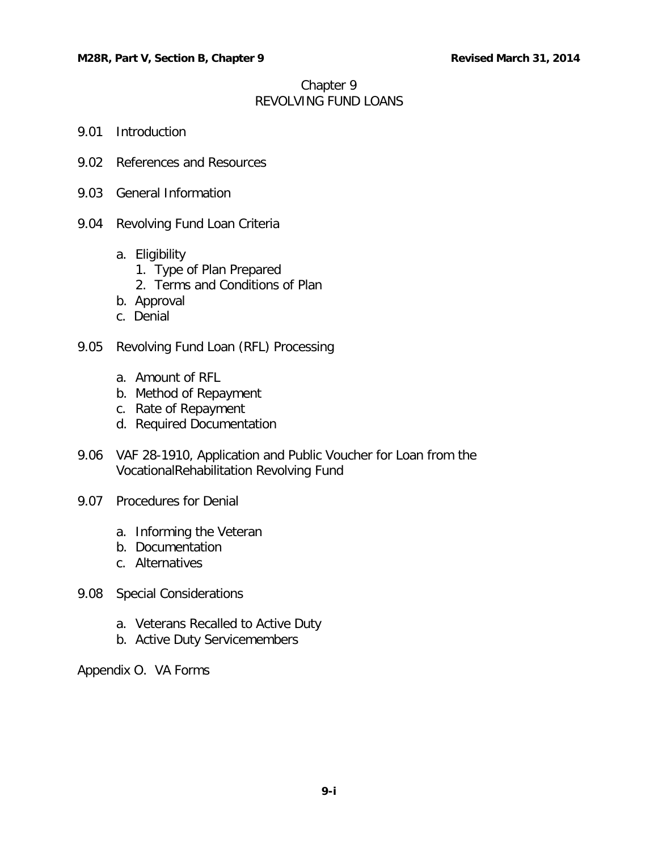# Chapter 9 REVOLVING FUND LOANS

- 9.01 [Introduction](#page-1-0)
- 9.02 [References and Resources](#page-1-1)
- 9.03 [General Information](#page-1-2)
- 9.04 [Revolving Fund Loan Criteria](#page-2-0)
	- a. [Eligibility](#page-2-1)
		- [1. Type of Plan Prepared](#page-2-2)
		- [2. Terms and Conditions of Plan](#page-2-3)
	- [b. Approval](#page-2-4)
	- [c. Denial](#page-3-0)
- 9.05 [Revolving Fund Loan \(RFL\) Processing](#page-3-1)
	- a. [Amount of RFL](#page-3-2)
	- b. [Method of Repayment](#page-4-0)
	- c. [Rate of Repayment](#page-4-1)
	- [d. Required Documentation](#page-4-2)
- 9.06 [VAF 28-1910, Application and Public Voucher for Loan from the](#page-5-0)  [VocationalRehabilitation Revolving Fund](#page-5-0)
- 9.07 [Procedures for Denial](#page-6-0)
	- [a. Informing the Veteran](#page-6-1)
	- [b. Documentation](#page-6-2)
	- c. [Alternatives](#page-6-3)
- 9.08 [Special Considerations](#page-6-4)
	- a. [Veterans Recalled to Active Duty](#page-6-5)
	- b. [Active Duty Servicemembers](#page-7-0)

Appendix O. VA Forms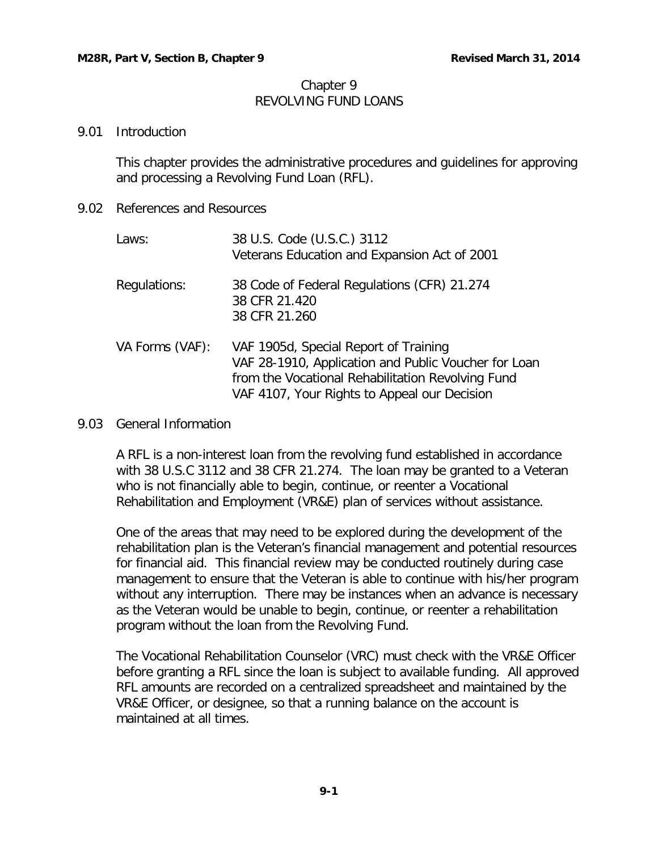# Chapter 9 REVOLVING FUND LOANS

### <span id="page-1-0"></span>9.01 Introduction

This chapter provides the administrative procedures and guidelines for approving and processing a Revolving Fund Loan (RFL).

<span id="page-1-1"></span>9.02 References and Resources

| Laws:           | 38 U.S. Code (U.S.C.) 3112<br>Veterans Education and Expansion Act of 2001                                                                                                                         |
|-----------------|----------------------------------------------------------------------------------------------------------------------------------------------------------------------------------------------------|
| Regulations:    | 38 Code of Federal Regulations (CFR) 21.274<br>38 CFR 21.420<br>38 CFR 21.260                                                                                                                      |
| VA Forms (VAF): | VAF 1905d, Special Report of Training<br>VAF 28-1910, Application and Public Voucher for Loan<br>from the Vocational Rehabilitation Revolving Fund<br>VAF 4107, Your Rights to Appeal our Decision |

### <span id="page-1-2"></span>9.03 General Information

A RFL is a non-interest loan from the revolving fund established in accordance with 38 U.S.C 3112 and 38 CFR 21.274. The loan may be granted to a Veteran who is not financially able to begin, continue, or reenter a Vocational Rehabilitation and Employment (VR&E) plan of services without assistance.

One of the areas that may need to be explored during the development of the rehabilitation plan is the Veteran's financial management and potential resources for financial aid. This financial review may be conducted routinely during case management to ensure that the Veteran is able to continue with his/her program without any interruption. There may be instances when an advance is necessary as the Veteran would be unable to begin, continue, or reenter a rehabilitation program without the loan from the Revolving Fund.

The Vocational Rehabilitation Counselor (VRC) must check with the VR&E Officer before granting a RFL since the loan is subject to available funding. All approved RFL amounts are recorded on a centralized spreadsheet and maintained by the VR&E Officer, or designee, so that a running balance on the account is maintained at all times.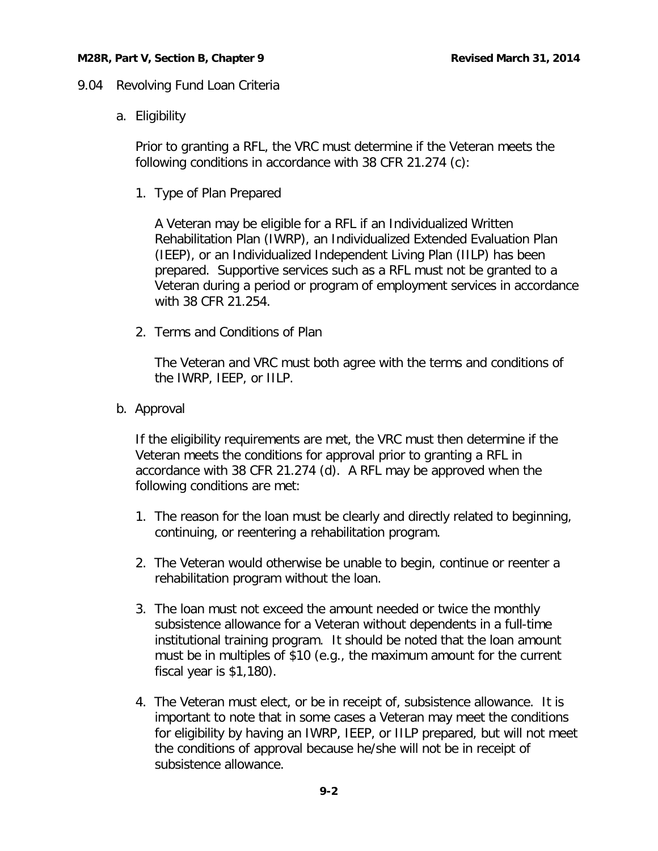# <span id="page-2-1"></span><span id="page-2-0"></span>9.04 Revolving Fund Loan Criteria

a. Eligibility

Prior to granting a RFL, the VRC must determine if the Veteran meets the following conditions in accordance with 38 CFR 21.274 (c):

<span id="page-2-2"></span>1. Type of Plan Prepared

A Veteran may be eligible for a RFL if an Individualized Written Rehabilitation Plan (IWRP), an Individualized Extended Evaluation Plan (IEEP), or an Individualized Independent Living Plan (IILP) has been prepared. Supportive services such as a RFL must not be granted to a Veteran during a period or program of employment services in accordance with 38 CFR 21.254.

<span id="page-2-3"></span>2. Terms and Conditions of Plan

The Veteran and VRC must both agree with the terms and conditions of the IWRP, IEEP, or IILP.

<span id="page-2-4"></span>b. Approval

If the eligibility requirements are met, the VRC must then determine if the Veteran meets the conditions for approval prior to granting a RFL in accordance with 38 CFR 21.274 (d). A RFL may be approved when the following conditions are met:

- 1. The reason for the loan must be clearly and directly related to beginning, continuing, or reentering a rehabilitation program.
- 2. The Veteran would otherwise be unable to begin, continue or reenter a rehabilitation program without the loan.
- 3. The loan must not exceed the amount needed or twice the monthly subsistence allowance for a Veteran without dependents in a full-time institutional training program. It should be noted that the loan amount must be in multiples of \$10 (e.g., the maximum amount for the current fiscal year is \$1,180).
- 4. The Veteran must elect, or be in receipt of, subsistence allowance. It is important to note that in some cases a Veteran may meet the conditions for eligibility by having an IWRP, IEEP, or IILP prepared, but will not meet the conditions of approval because he/she will not be in receipt of subsistence allowance.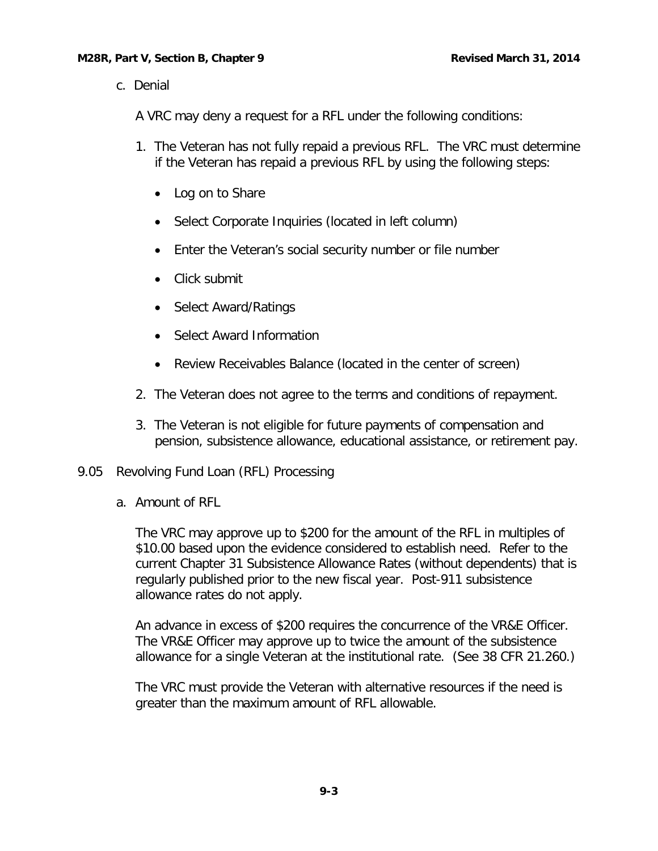<span id="page-3-0"></span>c. Denial

A VRC may deny a request for a RFL under the following conditions:

- 1. The Veteran has not fully repaid a previous RFL. The VRC must determine if the Veteran has repaid a previous RFL by using the following steps:
	- Log on to Share
	- Select Corporate Inquiries (located in left column)
	- Enter the Veteran's social security number or file number
	- Click submit
	- Select Award/Ratings
	- Select Award Information
	- Review Receivables Balance (located in the center of screen)
- 2. The Veteran does not agree to the terms and conditions of repayment.
- 3. The Veteran is not eligible for future payments of compensation and pension, subsistence allowance, educational assistance, or retirement pay.
- <span id="page-3-2"></span><span id="page-3-1"></span>9.05 Revolving Fund Loan (RFL) Processing
	- a. Amount of RFL

The VRC may approve up to \$200 for the amount of the RFL in multiples of \$10.00 based upon the evidence considered to establish need. Refer to the current Chapter 31 Subsistence Allowance Rates (without dependents) that is regularly published prior to the new fiscal year. Post-911 subsistence allowance rates do not apply.

An advance in excess of \$200 requires the concurrence of the VR&E Officer. The VR&E Officer may approve up to twice the amount of the subsistence allowance for a single Veteran at the institutional rate. (See 38 CFR 21.260.)

The VRC must provide the Veteran with alternative resources if the need is greater than the maximum amount of RFL allowable.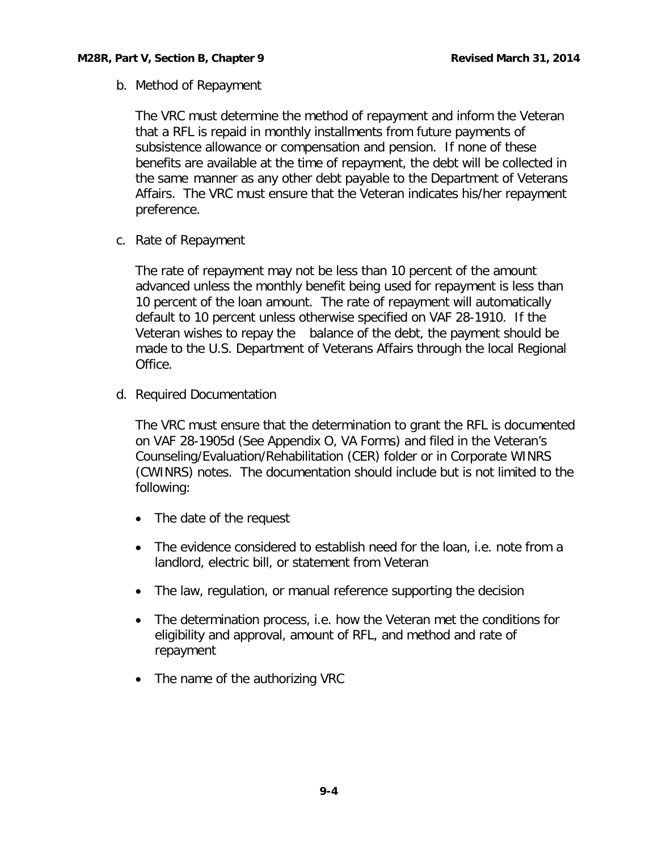<span id="page-4-0"></span>b. Method of Repayment

The VRC must determine the method of repayment and inform the Veteran that a RFL is repaid in monthly installments from future payments of subsistence allowance or compensation and pension. If none of these benefits are available at the time of repayment, the debt will be collected in the same manner as any other debt payable to the Department of Veterans Affairs. The VRC must ensure that the Veteran indicates his/her repayment preference.

<span id="page-4-1"></span>c. Rate of Repayment

The rate of repayment may not be less than 10 percent of the amount advanced unless the monthly benefit being used for repayment is less than 10 percent of the loan amount. The rate of repayment will automatically default to 10 percent unless otherwise specified on VAF 28-1910. If the Veteran wishes to repay the balance of the debt, the payment should be made to the U.S. Department of Veterans Affairs through the local Regional Office.

<span id="page-4-2"></span>d. Required Documentation

The VRC must ensure that the determination to grant the RFL is documented on VAF 28-1905d (See Appendix O, VA Forms) and filed in the Veteran's Counseling/Evaluation/Rehabilitation (CER) folder or in Corporate WINRS (CWINRS) notes. The documentation should include but is not limited to the following:

- The date of the request
- The evidence considered to establish need for the loan, i.e. note from a landlord, electric bill, or statement from Veteran
- The law, regulation, or manual reference supporting the decision
- The determination process, i.e. how the Veteran met the conditions for eligibility and approval, amount of RFL, and method and rate of repayment
- The name of the authorizing VRC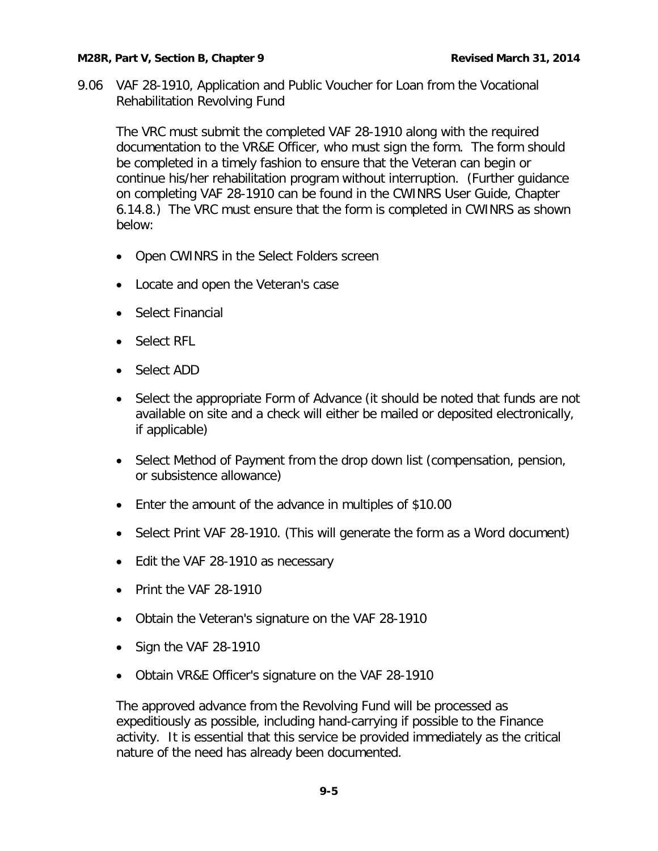#### **M28R, Part V, Section B, Chapter 9 Revised March 31, 2014**

<span id="page-5-0"></span>9.06 VAF 28-1910, Application and Public Voucher for Loan from the Vocational Rehabilitation Revolving Fund

The VRC must submit the completed VAF 28-1910 along with the required documentation to the VR&E Officer, who must sign the form. The form should be completed in a timely fashion to ensure that the Veteran can begin or continue his/her rehabilitation program without interruption. (Further guidance on completing VAF 28-1910 can be found in the CWINRS User Guide, Chapter 6.14.8.)The VRC must ensure that the form is completed in CWINRS as shown below:

- Open CWINRS in the Select Folders screen
- Locate and open the Veteran's case
- Select Financial
- Select RFL
- Select ADD
- Select the appropriate Form of Advance (it should be noted that funds are not available on site and a check will either be mailed or deposited electronically, if applicable)
- Select Method of Payment from the drop down list (compensation, pension, or subsistence allowance)
- Enter the amount of the advance in multiples of \$10.00
- Select Print VAF 28-1910. (This will generate the form as a Word document)
- Edit the VAF 28-1910 as necessary
- Print the VAF 28-1910
- Obtain the Veteran's signature on the VAF 28-1910
- Sign the VAF 28-1910
- Obtain VR&E Officer's signature on the VAF 28-1910

The approved advance from the Revolving Fund will be processed as expeditiously as possible, including hand-carrying if possible to the Finance activity. It is essential that this service be provided immediately as the critical nature of the need has already been documented.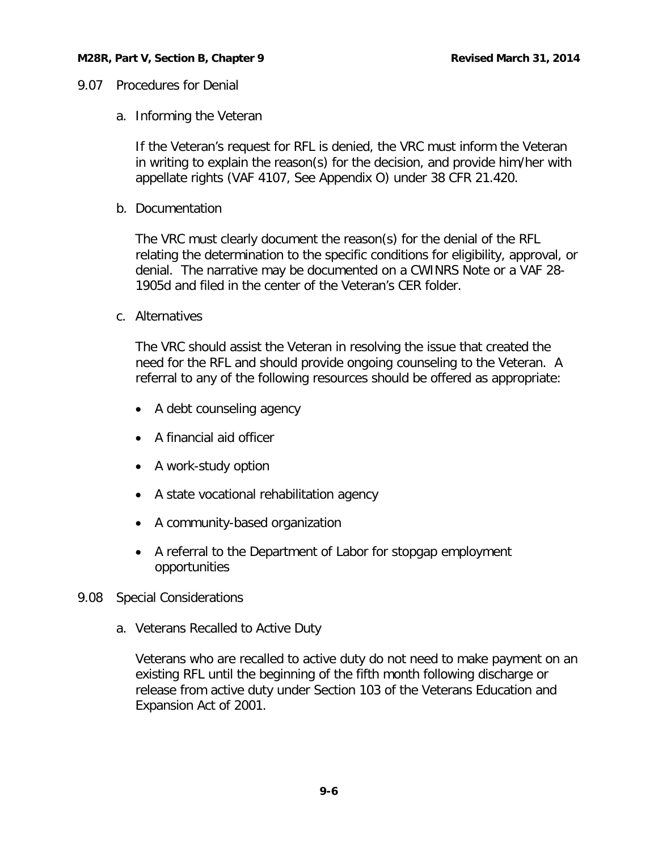### <span id="page-6-1"></span><span id="page-6-0"></span>9.07 Procedures for Denial

a. Informing the Veteran

If the Veteran's request for RFL is denied, the VRC must inform the Veteran in writing to explain the reason(s) for the decision, and provide him/her with appellate rights (VAF 4107, See Appendix O) under 38 CFR 21.420.

<span id="page-6-2"></span>b. Documentation

The VRC must clearly document the reason(s) for the denial of the RFL relating the determination to the specific conditions for eligibility, approval, or denial. The narrative may be documented on a CWINRS Note or a VAF 28- 1905d and filed in the center of the Veteran's CER folder.

<span id="page-6-3"></span>c. Alternatives

The VRC should assist the Veteran in resolving the issue that created the need for the RFL and should provide ongoing counseling to the Veteran. A referral to any of the following resources should be offered as appropriate:

- A debt counseling agency
- A financial aid officer
- A work-study option
- A state vocational rehabilitation agency
- A community-based organization
- A referral to the Department of Labor for stopgap employment opportunities
- <span id="page-6-5"></span><span id="page-6-4"></span>9.08 Special Considerations
	- a. Veterans Recalled to Active Duty

Veterans who are recalled to active duty do not need to make payment on an existing RFL until the beginning of the fifth month following discharge or release from active duty under Section 103 of the Veterans Education and Expansion Act of 2001.